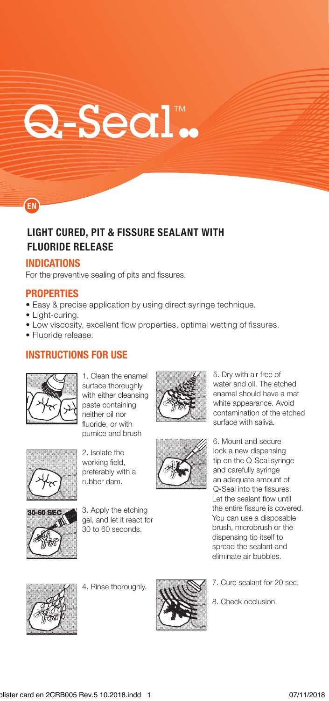# Q-Seal.

# **LIGHT CURED, PIT & FISSURE SEALANT WITH FLUORIDE RELEASE**

### INDICATIONS

EN

For the preventive sealing of pits and fissures.

#### **PROPERTIES**

- Easy & precise application by using direct syringe technique.
- Light-curing.
- Low viscosity, excellent flow properties, optimal wetting of fissures.
- · Fluoride release.

## **INSTRUCTIONS FOR USE**



1. Clean the enamel surface thoroughly with either cleansing paste containing neither oil nor fluoride, or with pumice and brush





2. Isolate the working field, preferably with a rubber dam.



30-60 SEC

3. Apply the etching gel, and let it react for 30 to 60 seconds.



5. Dry with air free of water and oil. The etched enamel should have a mat white appearance. Avoid contamination of the etched

an adequate amount of Q-Seal into the fissures. Let the sealant flow until the entire fissure is covered. You can use a disposable brush, microbrush or the dispensing tip itself to spread the sealant and eliminate air bubbles.



4. Rinse thoroughly.



- 7. Cure sealant for 20 sec.
- 8. Check occlusion.